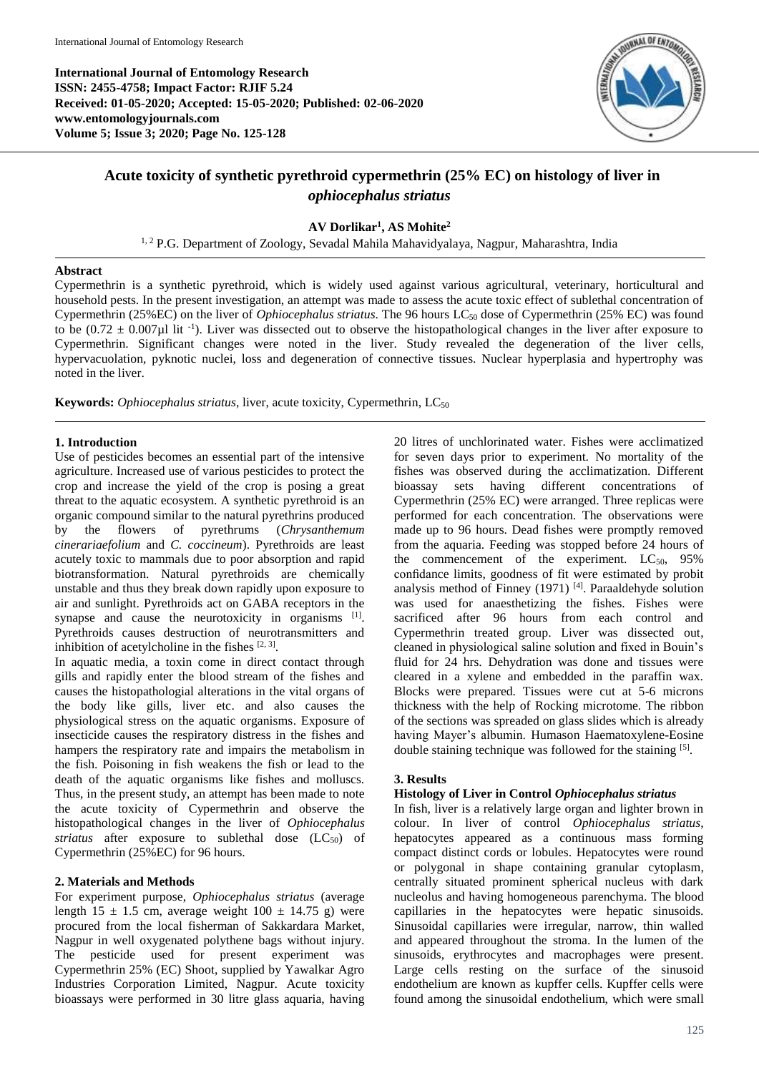

# **Acute toxicity of synthetic pyrethroid cypermethrin (25% EC) on histology of liver in**  *ophiocephalus striatus*

**AV Dorlikar<sup>1</sup> , AS Mohite<sup>2</sup>**

<sup>1, 2</sup> P.G. Department of Zoology, Sevadal Mahila Mahavidyalaya, Nagpur, Maharashtra, India

#### **Abstract**

Cypermethrin is a synthetic pyrethroid, which is widely used against various agricultural, veterinary, horticultural and household pests. In the present investigation, an attempt was made to assess the acute toxic effect of sublethal concentration of Cypermethrin (25%EC) on the liver of *Ophiocephalus striatus*. The 96 hours LC<sup>50</sup> dose of Cypermethrin (25% EC) was found to be  $(0.72 \pm 0.007 \mu$  lit<sup>-1</sup>). Liver was dissected out to observe the histopathological changes in the liver after exposure to Cypermethrin. Significant changes were noted in the liver. Study revealed the degeneration of the liver cells, hypervacuolation, pyknotic nuclei, loss and degeneration of connective tissues. Nuclear hyperplasia and hypertrophy was noted in the liver.

Keywords: Ophiocephalus striatus, liver, acute toxicity, Cypermethrin, LC<sub>50</sub>

## **1. Introduction**

Use of pesticides becomes an essential part of the intensive agriculture. Increased use of various pesticides to protect the crop and increase the yield of the crop is posing a great threat to the aquatic ecosystem. A synthetic pyrethroid is an organic compound similar to the natural pyrethrins produced by the flowers of pyrethrums (*Chrysanthemum cinerariaefolium* and *C. coccineum*). Pyrethroids are least acutely toxic to mammals due to poor absorption and rapid biotransformation. Natural pyrethroids are chemically unstable and thus they break down rapidly upon exposure to air and sunlight. Pyrethroids act on GABA receptors in the synapse and cause the neurotoxicity in organisms [1]. Pyrethroids causes destruction of neurotransmitters and inhibition of acetylcholine in the fishes  $[2, 3]$ .

In aquatic media, a toxin come in direct contact through gills and rapidly enter the blood stream of the fishes and causes the histopathologial alterations in the vital organs of the body like gills, liver etc. and also causes the physiological stress on the aquatic organisms. Exposure of insecticide causes the respiratory distress in the fishes and hampers the respiratory rate and impairs the metabolism in the fish. Poisoning in fish weakens the fish or lead to the death of the aquatic organisms like fishes and molluscs. Thus, in the present study, an attempt has been made to note the acute toxicity of Cypermethrin and observe the histopathological changes in the liver of *Ophiocephalus striatus* after exposure to sublethal dose (LC<sub>50</sub>) of Cypermethrin (25%EC) for 96 hours.

## **2. Materials and Methods**

For experiment purpose, *Ophiocephalus striatus* (average length 15  $\pm$  1.5 cm, average weight 100  $\pm$  14.75 g) were procured from the local fisherman of Sakkardara Market, Nagpur in well oxygenated polythene bags without injury. The pesticide used for present experiment was Cypermethrin 25% (EC) Shoot, supplied by Yawalkar Agro Industries Corporation Limited, Nagpur. Acute toxicity bioassays were performed in 30 litre glass aquaria, having

20 litres of unchlorinated water. Fishes were acclimatized for seven days prior to experiment. No mortality of the fishes was observed during the acclimatization. Different bioassay sets having different concentrations of Cypermethrin (25% EC) were arranged. Three replicas were performed for each concentration. The observations were made up to 96 hours. Dead fishes were promptly removed from the aquaria. Feeding was stopped before 24 hours of the commencement of the experiment.  $LC_{50}$ , 95% confidance limits, goodness of fit were estimated by probit analysis method of Finney (1971)<sup>[4]</sup>. Paraaldehyde solution was used for anaesthetizing the fishes. Fishes were sacrificed after 96 hours from each control and Cypermethrin treated group. Liver was dissected out, cleaned in physiological saline solution and fixed in Bouin's fluid for 24 hrs. Dehydration was done and tissues were cleared in a xylene and embedded in the paraffin wax. Blocks were prepared. Tissues were cut at 5-6 microns thickness with the help of Rocking microtome. The ribbon of the sections was spreaded on glass slides which is already having Mayer's albumin. Humason Haematoxylene-Eosine double staining technique was followed for the staining [5].

## **3. Results**

## **Histology of Liver in Control** *Ophiocephalus striatus*

In fish, liver is a relatively large organ and lighter brown in colour. In liver of control *Ophiocephalus striatus*, hepatocytes appeared as a continuous mass forming compact distinct cords or lobules. Hepatocytes were round or polygonal in shape containing granular cytoplasm, centrally situated prominent spherical nucleus with dark nucleolus and having homogeneous parenchyma. The blood capillaries in the hepatocytes were hepatic sinusoids. Sinusoidal capillaries were irregular, narrow, thin walled and appeared throughout the stroma. In the lumen of the sinusoids, erythrocytes and macrophages were present. Large cells resting on the surface of the sinusoid endothelium are known as kupffer cells. Kupffer cells were found among the sinusoidal endothelium, which were small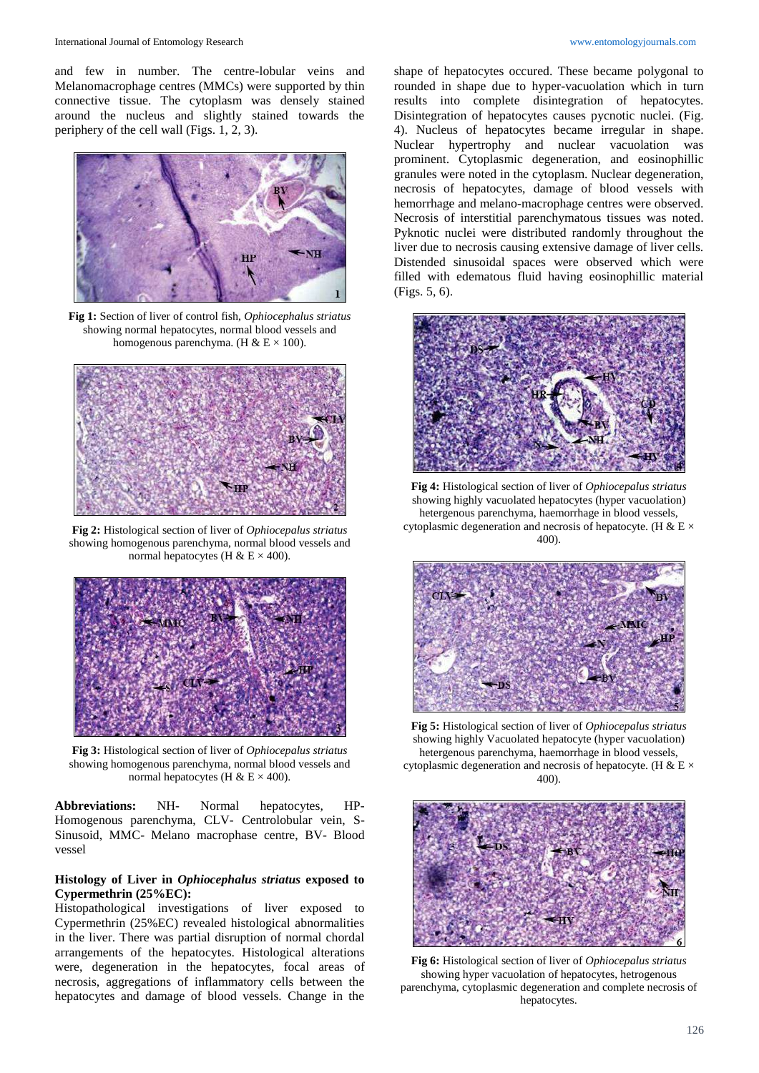and few in number. The centre-lobular veins and Melanomacrophage centres (MMCs) were supported by thin connective tissue. The cytoplasm was densely stained around the nucleus and slightly stained towards the periphery of the cell wall (Figs. 1, 2, 3).



**Fig 1:** Section of liver of control fish, *Ophiocephalus striatus*  showing normal hepatocytes, normal blood vessels and homogenous parenchyma. (H & E  $\times$  100).



**Fig 2:** Histological section of liver of *Ophiocepalus striatus* showing homogenous parenchyma, normal blood vessels and normal hepatocytes (H & E  $\times$  400).



**Fig 3:** Histological section of liver of *Ophiocepalus striatus* showing homogenous parenchyma, normal blood vessels and normal hepatocytes (H & E  $\times$  400).

**Abbreviations:** NH- Normal hepatocytes, HP-Homogenous parenchyma, CLV- Centrolobular vein, S-Sinusoid, MMC- Melano macrophase centre, BV- Blood vessel

### **Histology of Liver in** *Ophiocephalus striatus* **exposed to Cypermethrin (25%EC):**

Histopathological investigations of liver exposed to Cypermethrin (25%EC) revealed histological abnormalities in the liver. There was partial disruption of normal chordal arrangements of the hepatocytes. Histological alterations were, degeneration in the hepatocytes, focal areas of necrosis, aggregations of inflammatory cells between the hepatocytes and damage of blood vessels. Change in the

shape of hepatocytes occured. These became polygonal to rounded in shape due to hyper-vacuolation which in turn results into complete disintegration of hepatocytes. Disintegration of hepatocytes causes pycnotic nuclei. (Fig. 4). Nucleus of hepatocytes became irregular in shape. Nuclear hypertrophy and nuclear vacuolation was prominent. Cytoplasmic degeneration, and eosinophillic granules were noted in the cytoplasm. Nuclear degeneration, necrosis of hepatocytes, damage of blood vessels with hemorrhage and melano-macrophage centres were observed. Necrosis of interstitial parenchymatous tissues was noted. Pyknotic nuclei were distributed randomly throughout the liver due to necrosis causing extensive damage of liver cells. Distended sinusoidal spaces were observed which were filled with edematous fluid having eosinophillic material (Figs. 5, 6).



**Fig 4:** Histological section of liver of *Ophiocepalus striatus* showing highly vacuolated hepatocytes (hyper vacuolation) hetergenous parenchyma, haemorrhage in blood vessels, cytoplasmic degeneration and necrosis of hepatocyte. (H & E  $\times$ 400).



**Fig 5:** Histological section of liver of *Ophiocepalus striatus* showing highly Vacuolated hepatocyte (hyper vacuolation) hetergenous parenchyma, haemorrhage in blood vessels, cytoplasmic degeneration and necrosis of hepatocyte. (H & E  $\times$ 400).



**Fig 6:** Histological section of liver of *Ophiocepalus striatus* showing hyper vacuolation of hepatocytes, hetrogenous parenchyma, cytoplasmic degeneration and complete necrosis of hepatocytes.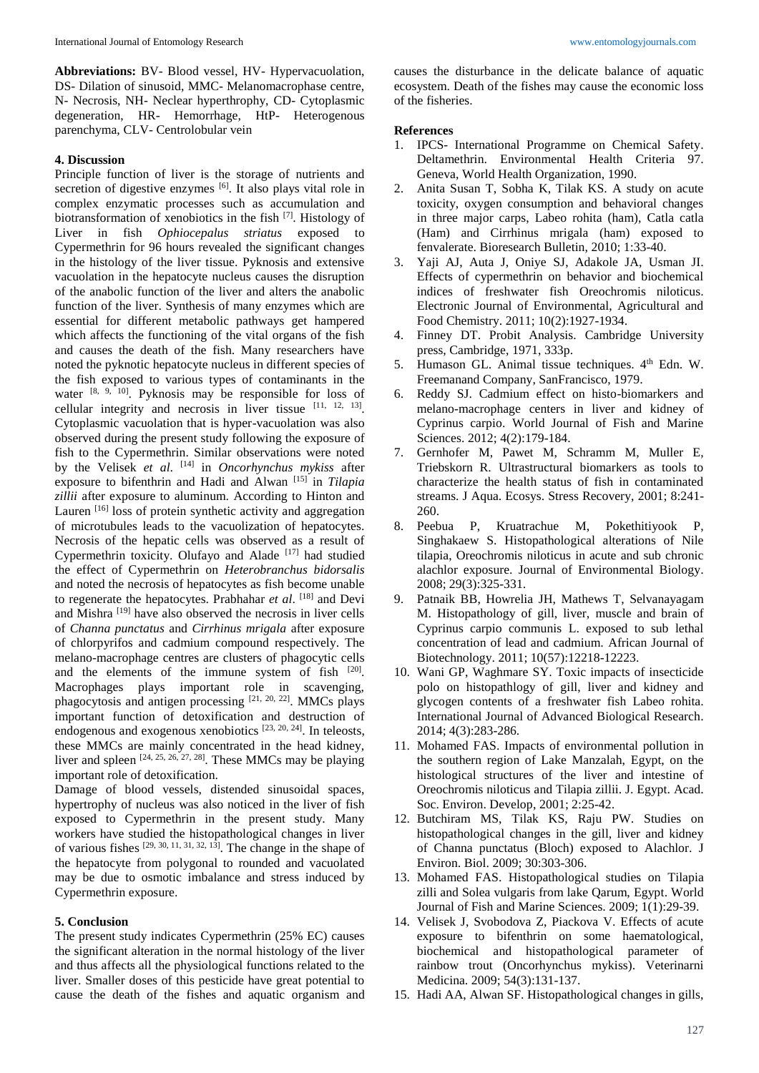**Abbreviations:** BV- Blood vessel, HV- Hypervacuolation, DS- Dilation of sinusoid, MMC- Melanomacrophase centre, N- Necrosis, NH- Neclear hyperthrophy, CD- Cytoplasmic degeneration, HR- Hemorrhage, HtP- Heterogenous parenchyma, CLV- Centrolobular vein

#### **4. Discussion**

Principle function of liver is the storage of nutrients and secretion of digestive enzymes [6]. It also plays vital role in complex enzymatic processes such as accumulation and biotransformation of xenobiotics in the fish <sup>[7]</sup>. Histology of Liver in fish *Ophiocepalus striatus* exposed to Cypermethrin for 96 hours revealed the significant changes in the histology of the liver tissue. Pyknosis and extensive vacuolation in the hepatocyte nucleus causes the disruption of the anabolic function of the liver and alters the anabolic function of the liver. Synthesis of many enzymes which are essential for different metabolic pathways get hampered which affects the functioning of the vital organs of the fish and causes the death of the fish. Many researchers have noted the pyknotic hepatocyte nucleus in different species of the fish exposed to various types of contaminants in the water  $[8, 9, 10]$ . Pyknosis may be responsible for loss of cellular integrity and necrosis in liver tissue  $[11, 12, 13]$ . Cytoplasmic vacuolation that is hyper-vacuolation was also observed during the present study following the exposure of fish to the Cypermethrin. Similar observations were noted by the Velisek *et al*. [14] in *Oncorhynchus mykiss* after exposure to bifenthrin and Hadi and Alwan [15] in *Tilapia zillii* after exposure to aluminum. According to Hinton and Lauren <sup>[16]</sup> loss of protein synthetic activity and aggregation of microtubules leads to the vacuolization of hepatocytes. Necrosis of the hepatic cells was observed as a result of Cypermethrin toxicity. Olufayo and Alade [17] had studied the effect of Cypermethrin on *Heterobranchus bidorsalis* and noted the necrosis of hepatocytes as fish become unable to regenerate the hepatocytes. Prabhahar *et al*. [18] and Devi and Mishra [19] have also observed the necrosis in liver cells of *Channa punctatus* and *Cirrhinus mrigala* after exposure of chlorpyrifos and cadmium compound respectively. The melano-macrophage centres are clusters of phagocytic cells and the elements of the immune system of fish [20]. Macrophages plays important role in scavenging, phagocytosis and antigen processing  $[21, 20, 22]$ . MMCs plays important function of detoxification and destruction of endogenous and exogenous xenobiotics [23, 20, 24]. In teleosts, these MMCs are mainly concentrated in the head kidney, liver and spleen  $[24, 25, 26, 27, 28]$ . These MMCs may be playing important role of detoxification.

Damage of blood vessels, distended sinusoidal spaces, hypertrophy of nucleus was also noticed in the liver of fish exposed to Cypermethrin in the present study. Many workers have studied the histopathological changes in liver of various fishes [29, 30, 11, 31, 32, 13] . The change in the shape of the hepatocyte from polygonal to rounded and vacuolated may be due to osmotic imbalance and stress induced by Cypermethrin exposure.

#### **5. Conclusion**

The present study indicates Cypermethrin (25% EC) causes the significant alteration in the normal histology of the liver and thus affects all the physiological functions related to the liver. Smaller doses of this pesticide have great potential to cause the death of the fishes and aquatic organism and causes the disturbance in the delicate balance of aquatic ecosystem. Death of the fishes may cause the economic loss of the fisheries.

#### **References**

- 1. IPCS- International Programme on Chemical Safety. Deltamethrin. Environmental Health Criteria 97. Geneva, World Health Organization, 1990.
- 2. Anita Susan T, Sobha K, Tilak KS. A study on acute toxicity, oxygen consumption and behavioral changes in three major carps, Labeo rohita (ham), Catla catla (Ham) and Cirrhinus mrigala (ham) exposed to fenvalerate. Bioresearch Bulletin, 2010; 1:33-40.
- 3. Yaji AJ, Auta J, Oniye SJ, Adakole JA, Usman JI. Effects of cypermethrin on behavior and biochemical indices of freshwater fish Oreochromis niloticus. Electronic Journal of Environmental, Agricultural and Food Chemistry. 2011; 10(2):1927-1934.
- 4. Finney DT. Probit Analysis. Cambridge University press, Cambridge, 1971, 333p.
- 5. Humason GL. Animal tissue techniques. 4<sup>th</sup> Edn. W. Freemanand Company, SanFrancisco, 1979.
- 6. Reddy SJ. Cadmium effect on histo-biomarkers and melano-macrophage centers in liver and kidney of Cyprinus carpio. World Journal of Fish and Marine Sciences. 2012; 4(2):179-184.
- 7. Gernhofer M, Pawet M, Schramm M, Muller E, Triebskorn R. Ultrastructural biomarkers as tools to characterize the health status of fish in contaminated streams. J Aqua. Ecosys. Stress Recovery, 2001; 8:241- 260.
- 8. Peebua P, Kruatrachue M, Pokethitiyook P, Singhakaew S. Histopathological alterations of Nile tilapia, Oreochromis niloticus in acute and sub chronic alachlor exposure. Journal of Environmental Biology. 2008; 29(3):325-331.
- 9. Patnaik BB, Howrelia JH, Mathews T, Selvanayagam M. Histopathology of gill, liver, muscle and brain of Cyprinus carpio communis L. exposed to sub lethal concentration of lead and cadmium. African Journal of Biotechnology. 2011; 10(57):12218-12223.
- 10. Wani GP, Waghmare SY. Toxic impacts of insecticide polo on histopathlogy of gill, liver and kidney and glycogen contents of a freshwater fish Labeo rohita. International Journal of Advanced Biological Research. 2014; 4(3):283-286.
- 11. Mohamed FAS. Impacts of environmental pollution in the southern region of Lake Manzalah, Egypt, on the histological structures of the liver and intestine of Oreochromis niloticus and Tilapia zillii. J. Egypt. Acad. Soc. Environ. Develop, 2001; 2:25-42.
- 12. Butchiram MS, Tilak KS, Raju PW. Studies on histopathological changes in the gill, liver and kidney of Channa punctatus (Bloch) exposed to Alachlor. J Environ. Biol. 2009; 30:303-306.
- 13. Mohamed FAS. Histopathological studies on Tilapia zilli and Solea vulgaris from lake Qarum, Egypt. World Journal of Fish and Marine Sciences. 2009; 1(1):29-39.
- 14. Velisek J, Svobodova Z, Piackova V. Effects of acute exposure to bifenthrin on some haematological, biochemical and histopathological parameter of rainbow trout (Oncorhynchus mykiss). Veterinarni Medicina. 2009; 54(3):131-137.
- 15. Hadi AA, Alwan SF. Histopathological changes in gills,